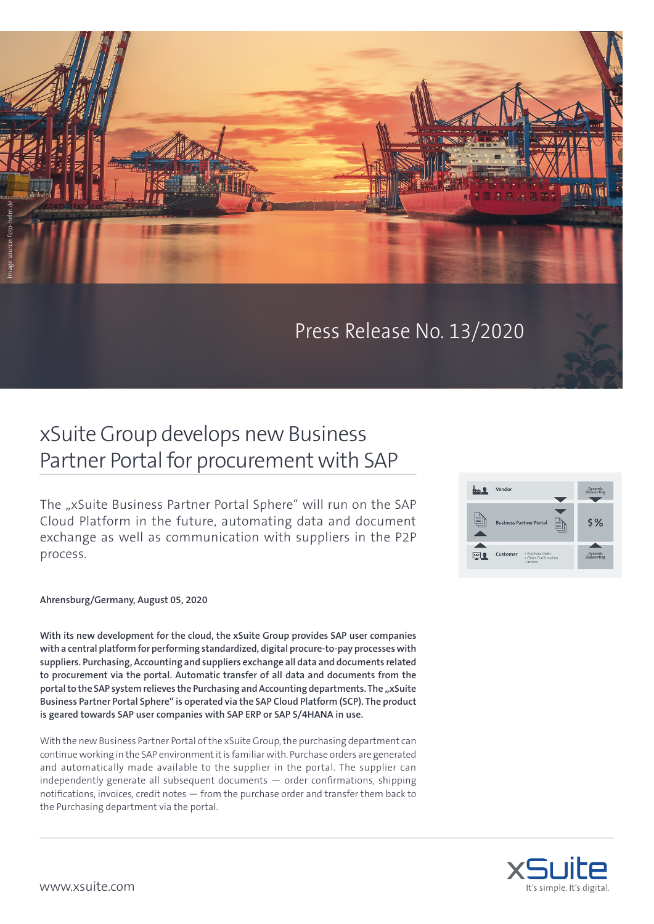

## Press Release No. 13/2020

## xSuite Group develops new Business Partner Portal for procurement with SAP

The "xSuite Business Partner Portal Sphere" will run on the SAP Cloud Platform in the future, automating data and document exchange as well as communication with suppliers in the P2P process.



## **Ahrensburg/Germany, August 05, 2020**

**With its new development for the cloud, the xSuite Group provides SAP user companies with a central platform for performing standardized, digital procure-to-pay processes with suppliers. Purchasing, Accounting and suppliers exchange all data and documents related to procurement via the portal. Automatic transfer of all data and documents from the**  portal to the SAP system relieves the Purchasing and Accounting departments. The "xSuite **Business Partner Portal Sphere" is operated via the SAP Cloud Platform (SCP). The product is geared towards SAP user companies with SAP ERP or SAP S/4HANA in use.** 

With the new Business Partner Portal of the xSuite Group, the purchasing department can continue working in the SAP environment it is familiar with. Purchase orders are generated and automatically made available to the supplier in the portal. The supplier can independently generate all subsequent documents — order confirmations, shipping notifications, invoices, credit notes — from the purchase order and transfer them back to the Purchasing department via the portal.